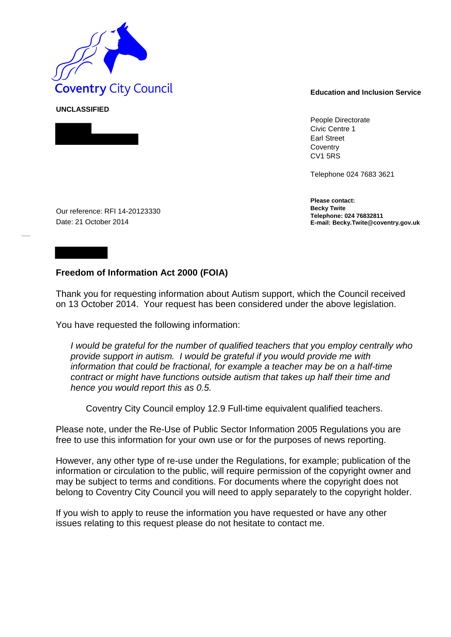

**UNCLASSIFIED** 

People Directorate Civic Centre 1 Earl Street **Coventry** CV1 5RS

Telephone 024 7683 3621

**Please contact: Becky Twite Telephone: 024 76832811 E-mail: Becky.Twite@coventry.gov.uk** 

Our reference: RFI 14-20123330 Date: 21 October 2014

## **Freedom of Information Act 2000 (FOIA)**

Thank you for requesting information about Autism support, which the Council received on 13 October 2014. Your request has been considered under the above legislation.

You have requested the following information:

*I would be grateful for the number of qualified teachers that you employ centrally who provide support in autism. I would be grateful if you would provide me with information that could be fractional, for example a teacher may be on a half-time contract or might have functions outside autism that takes up half their time and hence you would report this as 0.5.*

Coventry City Council employ 12.9 Full-time equivalent qualified teachers.

Please note, under the Re-Use of Public Sector Information 2005 Regulations you are free to use this information for your own use or for the purposes of news reporting.

However, any other type of re-use under the Regulations, for example; publication of the information or circulation to the public, will require permission of the copyright owner and may be subject to terms and conditions. For documents where the copyright does not belong to Coventry City Council you will need to apply separately to the copyright holder.

If you wish to apply to reuse the information you have requested or have any other issues relating to this request please do not hesitate to contact me.